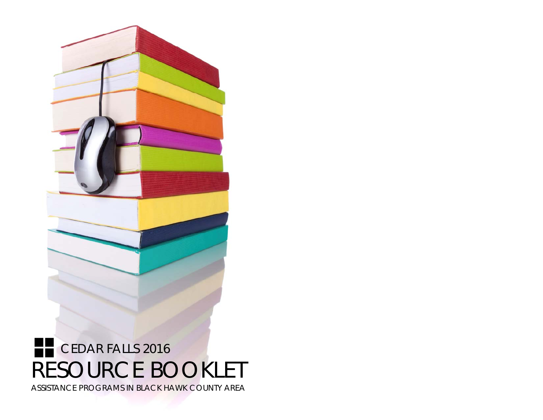

# RESOURCE BOOKLET ASSISTANCE PROGRAMS IN BLACK HAWK COUNTY AREA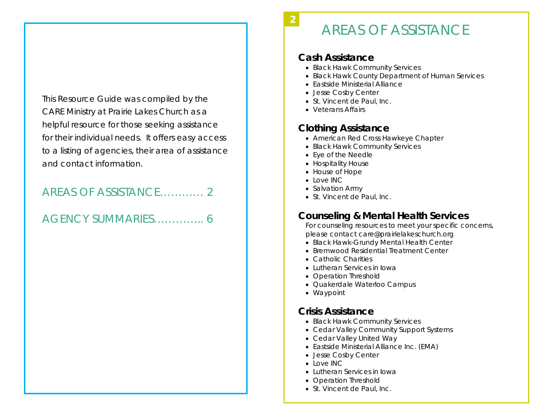This Resource Guide was compiled by the CARE Ministry at Prairie Lakes Church as a helpful resource for those seeking assistance for their individual needs. It offers easy access to a listing of agencies, their area of assistance and contact information.

### AREAS OF ASSISTANCE………… 2

AGENCY SUMMARIES………….. 6

# AREAS OF ASSISTANCE

#### **Cash Assistance**

- Black Hawk Community Services
- Black Hawk County Department of Human Services
- Eastside Ministerial Alliance
- Jesse Cosby Center
- St. Vincent de Paul, Inc.
- Veterans Affairs

### **Clothing Assistance**

- American Red Cross Hawkeye Chapter
- Black Hawk Community Services
- $\bullet\,$  Eye of the Needle  $\,$
- Hospitality House
- House of Hope
- Love INC
- Salvation Army
- St. Vincent de Paul, Inc.

### **Counseling & Mental Health Services**

For counseling resources to meet your specific concerns, please contact care@prairielakeschurch.org

- Black Hawk-Grundy Mental Health Center
- Bremwood Residential Treatment Center
- Catholic Charities
- Lutheran Services in Iowa
- Operation Threshold
- Quakerdale Waterloo Campus
- Waypoint

### **Crisis Assistance**

- Black Hawk Community Services
- Cedar Valley Community Support Systems
- Cedar Valley United Way
- Eastside Ministerial Alliance Inc. (EMA)
- Jesse Cosby Center
- $\bullet\,$  Love INC  $\,$
- Lutheran Services in Iowa
- Operation Threshold
- St. Vincent de Paul, Inc.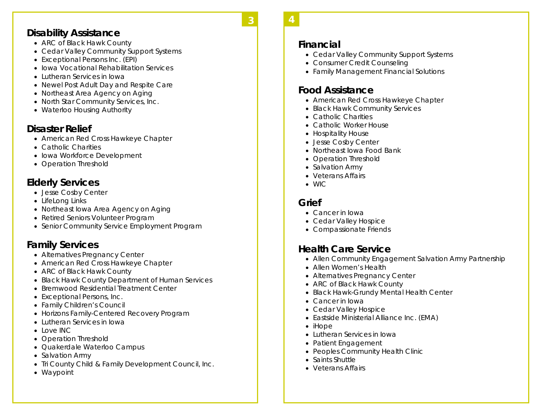#### **Disability Assistance**

- ARC of Black Hawk County
- Cedar Valley Community Support Systems
- Exceptional Persons Inc. (EPI)
- $\bullet\,$  Iowa Vocational Rehabilitation Services  $\,$
- Lutheran Services in Iowa
- Newel Post Adult Day and Respite Care
- Northeast Area Agency on Aging
- North Star Community Services, Inc.
- Waterloo Housing Authority

#### **Disaster Relief**

- American Red Cross Hawkeye Chapter
- Catholic Charities
- $\bullet\,$  Iowa Workforce Development
- Operation Threshold

### **Elderly Services**

- Jesse Cosby Center
- LifeLong Links
- Northeast Iowa Area Agency on Aging
- Retired Seniors Volunteer Program
- **Senior Community Service Employment Program**

### **Family Services**

- Alternatives Pregnancy Center
- American Red Cross Hawkeye Chapter
- ARC of Black Hawk County
- Black Hawk County Department of Human Services
- Bremwood Residential Treatment Center
- Exceptional Persons, Inc.
- Family Children's Council
- Horizons Family-Centered Recovery Program
- Lutheran Services in Iowa
- Love INC
- Operation Threshold
- Quakerdale Waterloo Campus
- Salvation Army
- Tri County Child & Family Development Council, Inc.
- Waypoint
- **Financial** 
	- Cedar Valley Community Support Systems
	- Consumer Credit Counseling
	- Family Management Financial Solutions

### **Food Assistance**

- American Red Cross Hawkeye Chapter
- Black Hawk Community Services
- Catholic Charities
- Catholic Worker House
- Hospitality House
- Jesse Cosby Center
- Northeast Iowa Food Bank
- Operation Threshold
- Salvation Army
- Veterans Affairs
- WIC

### **Grief**

- Cancer in Iowa
- Cedar Valley Hospice
- Compassionate Friends

### **Health Care Service**

- Allen Community Engagement Salvation Army Partnership
- Allen Women's Health
- Alternatives Pregnancy Center
- ARC of Black Hawk County
- Black Hawk-Grundy Mental Health Center
- Cancer in Iowa
- Cedar Valley Hospice
- Eastside Ministerial Alliance Inc. (EMA)
- iHope
- Lutheran Services in Iowa
- Patient Engagement
- Peoples Community Health Clinic
- $\bullet\,$  Saints Shuttle
- Veterans Affairs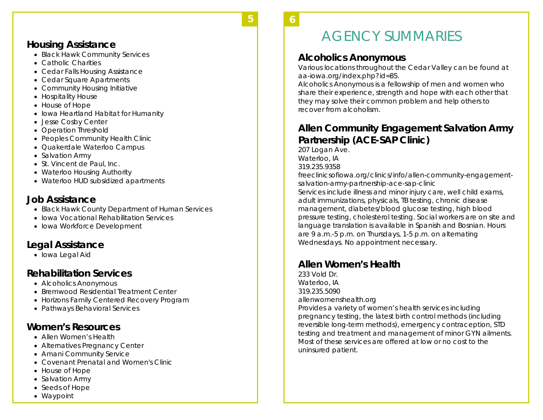### **Housing Assistance**

- Black Hawk Community Services
- Catholic Charities
- Cedar Falls Housing Assistance
- Cedar Square Apartments
- Community Housing Initiative
- Hospitality House
- House of Hope
- Iowa Heartland Habitat for Humanity
- Jesse Cosby Center
- Operation Threshold
- Peoples Community Health Clinic
- Quakerdale Waterloo Campus
- Salvation Army
- St. Vincent de Paul, Inc.
- Waterloo Housing Authority
- Waterloo HUD subsidized apartments

### **Job Assistance**

- Black Hawk County Department of Human Services
- Iowa Vocational Rehabilitation Services
- Iowa Workforce Development

### **Legal Assistance**

 $\bullet\,$  Iowa Legal Aid

### **Rehabilitation Services**

- Alcoholics Anonymous
- Bremwood Residential Treatment Center
- Horizons Family Centered Recovery Program
- Pathways Behavioral Services

### **Women's Resources**

- Allen Women's Health
- Alternatives Pregnancy Center
- Amani Community Service
- Covenant Prenatal and Women's Clinic
- House of Hope
- Salvation Army
- Seeds of Hope
- Waypoint

#### **6 6**

**5** 

# AGENCY SUMMARIES

### **Alcoholics Anonymous**

Various locations throughout the Cedar Valley can be found at aa-iowa.org/index.php?id=85.

Alcoholics Anonymous is a fellowship of men and women who share their experience, strength and hope with each other that they may solve their common problem and help others to recover from alcoholism.

### **Allen Community Engagement Salvation Army Partnership (ACE-SAP Clinic)**

207 Logan Ave. Waterloo, IA 319.235.9358 freeclinicsofiowa.org/clinics/info/allen-community-engagementsalvation-army-partnership-ace-sap-clinic Services include illness and minor injury care, well child exams, adult immunizations, physicals, TB testing, chronic disease management, diabetes/blood glucose testing, high blood pressure testing, cholesterol testing. Social workers are on site and language translation is available in Spanish and Bosnian. Hours are 9 a.m.-5 p.m. on Thursdays, 1-5 p.m. on alternating Wednesdays. No appointment necessary.

### **Allen Women's Health**

233 Vold Dr. Waterloo, IA 319.235.5090 allenwomenshealth.org

Provides a variety of women's health services including pregnancy testing, the latest birth control methods (including reversible long-term methods), emergency contraception, STD testing and treatment and management of minor GYN ailments. Most of these services are offered at low or no cost to the uninsured patient.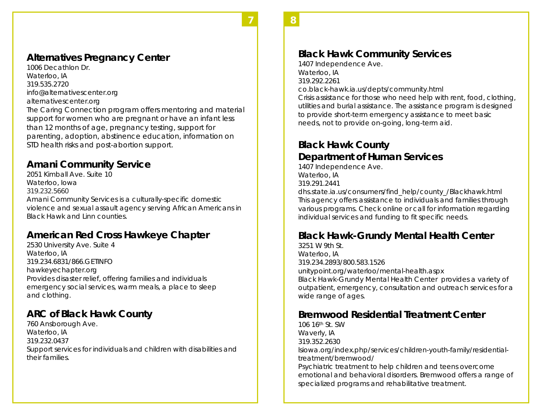#### **Alternatives Pregnancy Center**

1006 Decathlon Dr. Waterloo, IA 319.535.2720 info@alternativescenter.org alternativescenter.org The Caring Connection program offers mentoring and material support for women who are pregnant or have an infant less than 12 months of age, pregnancy testing, support for parenting, adoption, abstinence education, information on STD health risks and post-abortion support.

**7 7** 

#### **Amani Community Service**

2051 Kimball Ave. Suite 10 Waterloo, Iowa 319.232.5660 Amani Community Services is a culturally-specific domestic violence and sexual assault agency serving African Americans in Black Hawk and Linn counties.

### **American Red Cross Hawkeye Chapter**

2530 University Ave. Suite 4 Waterloo, IA 319.234.6831/866.GETINFO hawkeyechapter.org Provides disaster relief, offering families and individuals emergency social services, warm meals, a place to sleep and clothing.

#### **ARC of Black Hawk County**

760 Ansborough Ave. Waterloo, IA 319.232.0437 Support services for individuals and children with disabilities and their families.

### **Black Hawk Community Services**

1407 Independence Ave. Waterloo, IA 319.292.2261 co.black-hawk.ia.us/depts/community.html Crisis assistance for those who need help with rent, food, clothing, utilities and burial assistance. The assistance program is designed to provide short-term emergency assistance to meet basic needs, not to provide on-going, long-term aid.

**8 8** 

### **Black Hawk County Department of Human Services**

1407 Independence Ave. Waterloo, IA 319.291.2441

dhs.state.ia.us/consumers/find\_help/county\_/Blackhawk.html This agency offers assistance to individuals and families through various programs. Check online or call for information regarding individual services and funding to fit specific needs.

### **Black Hawk-Grundy Mental Health Center**

3251 W 9th St. Waterloo, IA 319.234.2893/800.583.1526 unitypoint.org/waterloo/mental-health.aspx Black Hawk-Grundy Mental Health Center provides a variety of outpatient, emergency, consultation and outreach services for a wide range of ages.

#### **Bremwood Residential Treatment Center**

106 16th St. SW Waverly, IA 319.352.2630 lsiowa.org/index.php/services/children-youth-family/residentialtreatment/bremwood/ Psychiatric treatment to help children and teens overcome emotional and behavioral disorders. Bremwood offers a range of specialized programs and rehabilitative treatment.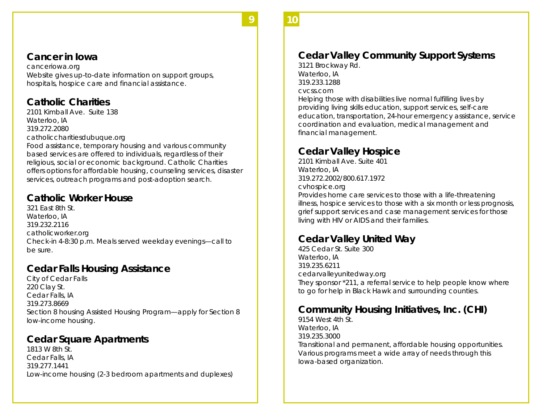#### **Cancer in Iowa**

canceriowa.org Website gives up-to-date information on support groups, hospitals, hospice care and financial assistance.

**9 9** 

### **Catholic Charities**

2101 Kimball Ave. Suite 138 Waterloo, IA 319.272.2080 catholiccharitiesdubuque.org

Food assistance, temporary housing and various community based services are offered to individuals, regardless of their religious, social or economic background. Catholic Charities offers options for affordable housing, counseling services, disaster services, outreach programs and post-adoption search.

### **Catholic Worker House**

321 East 8th St. Waterloo, IA 319.232.2116 catholicworker.org Check-in 4-8:30 p.m. Meals served weekday evenings—call to be sure.

### **Cedar Falls Housing Assistance**

City of Cedar Falls 220 Clay St. Cedar Falls, IA 319.273.8669 Section 8 housing Assisted Housing Program—apply for Section 8 low-income housing.

### **Cedar Square Apartments**

1813 W 8th St. Cedar Falls, IA 319.277.1441 Low-income housing (2-3 bedroom apartments and duplexes)

## **Cedar Valley Community Support Systems**

**10 10** 

3121 Brockway Rd. Waterloo, IA 319.233.1288 cvcss.com

Helping those with disabilities live normal fulfilling lives by providing living skills education, support services, self-care education, transportation, 24-hour emergency assistance, service coordination and evaluation, medical management and financial management.

### **Cedar Valley Hospice**

2101 Kimball Ave. Suite 401 Waterloo, IA 319.272.2002/800.617.1972 cvhospice.org Provides home care services to those with a life-threatening illness, hospice services to those with a six month or less prognosis, grief support services and case management services for those living with HIV or AIDS and their families.

### **Cedar Valley United Way**

425 Cedar St. Suite 300Waterloo, IA 319.235.6211 cedarvalleyunitedway.org They sponsor \*211, a referral service to help people know where to go for help in Black Hawk and surrounding counties.

### **Community Housing Initiatives, Inc. (CHI)**

9154 West 4th St. Waterloo, IA 319.235.3000Transitional and permanent, affordable housing opportunities. Various programs meet a wide array of needs through this Iowa-based organization.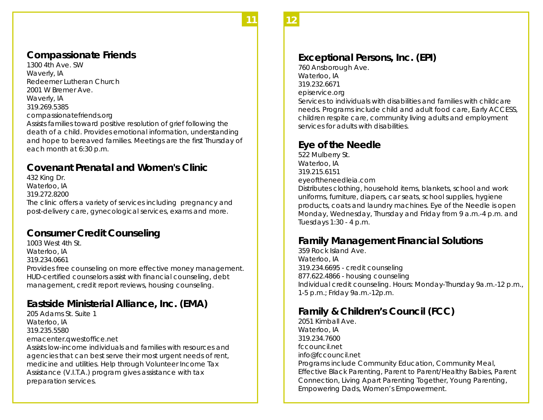#### **Compassionate Friends**

1300 4th Ave. SW Waverly, IA Redeemer Lutheran Church 2001 W Bremer Ave. Waverly, IA 319.269.5385 compassionatefriends.org Assists families toward positive resolution of grief following the death of a child. Provides emotional information, understanding and hope to bereaved families. Meetings are the first Thursday of each month at 6:30 p.m.

**11 11** 

### **Covenant Prenatal and Women's Clinic**

432 King Dr. Waterloo, IA 319.272.8200 The clinic offers a variety of services including pregnancy and post-delivery care, gynecological services, exams and more.

#### **Consumer Credit Counseling**

1003 West 4th St. Waterloo, IA 319.234.0661 Provides free counseling on more effective money management. HUD-certified counselors assist with financial counseling, debt management, credit report reviews, housing counseling.

### **Eastside Ministerial Alliance, Inc. (EMA)**

205 Adams St. Suite 1 Waterloo, IA 319.235.5580 emacenter.qwestoffice.net Assists low-income individuals and families with resources and agencies that can best serve their most urgent needs of rent, medicine and utilities. Help through Volunteer Income Tax Assistance (V.I.T.A.) program gives assistance with tax preparation services.

#### **12 12**

#### **Exceptional Persons, Inc. (EPI)**

760 Ansborough Ave. Waterloo, IA 319.232.6671 episervice.org

Services to individuals with disabilities and families with childcare needs. Programs include child and adult food care, Early ACCESS, children respite care, community living adults and employment services for adults with disabilities.

#### **Eye of the Needle**

522 Mulberry St. Waterloo, IA 319.215.6151 eyeoftheneedleia.com

Distributes clothing, household items, blankets, school and work uniforms, furniture, diapers, car seats, school supplies, hygiene products, coats and laundry machines. Eye of the Needle is open Monday, Wednesday, Thursday and Friday from 9 a.m.-4 p.m. and Tuesdays 1:30 - 4 p.m.

#### **Family Management Financial Solutions**

359 Rock Island Ave. Waterloo, IA 319.234.6695 - credit counseling 877.622.4866 - housing counseling Individual credit counseling. Hours: Monday-Thursday 9a.m.-12 p.m., 1-5 p.m.; Friday 9a.m.-12p.m.

#### **Family & Children's Council (FCC)**

2051 Kimball Ave. Waterloo, IA 319.234.7600 fccouncil.net info@fccouncil.net Programs include Community Education, Community Meal, Effective Black Parenting, Parent to Parent/Healthy Babies, Parent Connection, Living Apart Parenting Together, Young Parenting, Empowering Dads, Women's Empowerment.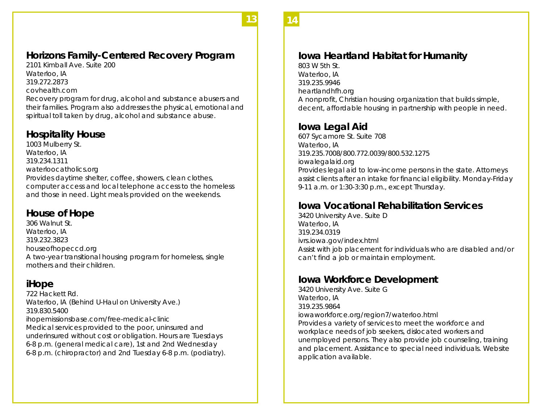### **Horizons Family-Centered Recovery Program**

**13 13** 

2101 Kimball Ave. Suite 200 Waterloo, IA 319.272.2873 covhealth.com

Recovery program for drug, alcohol and substance abusers and their families. Program also addresses the physical, emotional and spiritual toll taken by drug, alcohol and substance abuse.

### **Hospitality House**

1003 Mulberry St. Waterloo, IA 319.234.1311 waterloocatholics.org Provides daytime shelter, coffee, showers, clean clothes, computer access and local telephone access to the homeless and those in need. Light meals provided on the weekends.

### **House of Hope**

306 Walnut St. Waterloo, IA 319.232.3823 houseofhopeccd.org A two-year transitional housing program for homeless, single mothers and their children.

### **iHope**

722 Hackett Rd. Waterloo, IA (Behind U-Haul on University Ave.) 319.830.5400 ihopemissionsbase.com/free-medical-clinic Medical services provided to the poor, uninsured and underinsured without cost or obligation. Hours are Tuesdays 6-8 p.m. (general medical care), 1st and 2nd Wednesday 6-8 p.m. (chiropractor) and 2nd Tuesday 6-8 p.m. (podiatry).

### **Iowa Heartland Habitat for Humanity**

803 W 5th St. Waterloo, IA 319.235.9946 heartlandhfh.org A nonprofit, Christian housing organization that builds simple, decent, affordable housing in partnership with people in need.

**14 14** 

### **Iowa Legal Aid**

607 Sycamore St. Suite 708 Waterloo, IA 319.235.7008/800.772.0039/800.532.1275 iowalegalaid.org Provides legal aid to low-income persons in the state. Attorneys assist clients after an intake for financial eligibility. Monday-Friday 9-11 a.m. or 1:30-3:30 p.m., except Thursday.

### **Iowa Vocational Rehabilitation Services**

3420 University Ave. Suite D Waterloo, IA 319.234.0319 ivrs.iowa.gov/index.html Assist with job placement for individuals who are disabled and/or can't find a job or maintain employment.

### **Iowa Workforce Development**

3420 University Ave. Suite G Waterloo, IA 319.235.9864 iowaworkforce.org/region7/waterloo.html Provides a variety of services to meet the workforce and workplace needs of job seekers, dislocated workers and unemployed persons. They also provide job counseling, training and placement. Assistance to special need individuals. Website application available.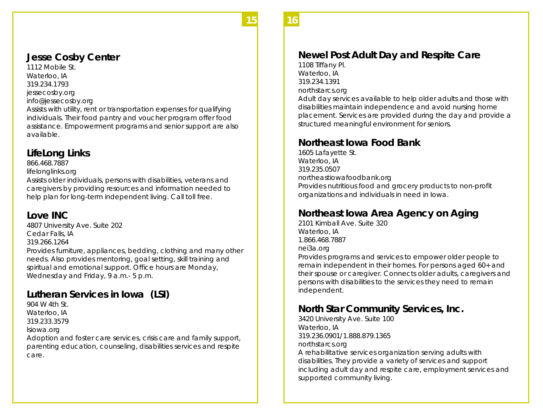#### **15 15**

#### **Jesse Cosby Center**

1112 Mobile St. Waterloo, IA 319.234.1793 jessecosby.org info@jessecosby.org

Assists with utility, rent or transportation expenses for qualifying individuals. Their food pantry and voucher program offer food assistance. Empowerment programs and senior support are also available.

#### **LifeLong Links**

866.468.7887

lifelonglinks.org

Assists older individuals, persons with disabilities, veterans and caregivers by providing resources and information needed to help plan for long-term independent living. Call toll free.

#### **Love INC**

4807 University Ave. Suite 202 Cedar Falls, IA 319.266.1264 Provides furniture, appliances, bedding, clothing and many other needs. Also provides mentoring, goal setting, skill training and spiritual and emotional support. Office hours are Monday, Wednesday and Friday, 9 a.m.- 5 p.m.

### **Lutheran Services in Iowa (LSI)**

904 W 4th St. Waterloo, IA 319.233.3579 lsiowa.org

Adoption and foster care services, crisis care and family support, parenting education, counseling, disabilities services and respite care.

### **Newel Post Adult Day and Respite Care**

1108 Tiffany Pl. Waterloo, IA 319.234.1391 northstarcs.org

Adult day services available to help older adults and those with disabilities maintain independence and avoid nursing home placement. Services are provided during the day and provide a structured meaningful environment for seniors.

**16 16** 

#### **Northeast Iowa Food Bank**

1605 Lafayette St. Waterloo, IA 319.235.0507 northeastiowafoodbank.org Provides nutritious food and grocery products to non-profit organizations and individuals in need in Iowa.

### **Northeast Iowa Area Agency on Aging**

2101 Kimball Ave. Suite 320 Waterloo, IA 1.866.468.7887 nei3a.org

Provides programs and services to empower older people to remain independent in their homes. For persons aged 60+ and their spouse or caregiver. Connects older adults, caregivers and persons with disabilities to the services they need to remain independent.

#### **North Star Community Services, Inc.**

3420 University Ave. Suite 100 Waterloo, IA 319.236.0901/1.888.879.1365 northstarcs.org A rehabilitative services organization serving adults with disabilities. They provide a variety of services and support including adult day and respite care, employment services and supported community living.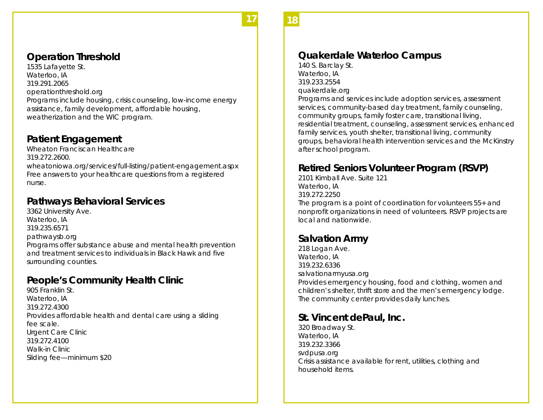### **Operation Threshold**

1535 Lafayette St. Waterloo, IA 319.291.2065 operationthreshold.org Programs include housing, crisis counseling, low-income energy assistance, family development, affordable housing, weatherization and the WIC program.

**17 17** 

#### **Patient Engagement**

Wheaton Franciscan Healthcare 319.272.2600. wheatoniowa.org/services/full-listing/patient-engagement.aspx Free answers to your healthcare questions from a registered nurse.

### **Pathways Behavioral Services**

3362 University Ave. Waterloo, IA 319.235.6571 pathwaysb.org Programs offer substance abuse and mental health prevention and treatment services to individuals in Black Hawk and five surrounding counties.

### **People's Community Health Clinic**

905 Franklin St. Waterloo, IA 319.272.4300 Provides affordable health and dental care using a sliding fee scale. Urgent Care Clinic 319.272.4100 Walk-in Clinic Sliding fee—minimum \$20

**18 18** 

#### **Quakerdale Waterloo Campus**

140 S. Barclay St. Waterloo, IA 319.233.2554 quakerdale.org

Programs and services include adoption services, assessment services, community-based day treatment, family counseling, community groups, family foster care, transitional living, residential treatment, counseling, assessment services, enhanced family services, youth shelter, transitional living, community groups, behavioral health intervention services and the McKinstry after school program.

### **Retired Seniors Volunteer Program (RSVP)**

2101 Kimball Ave. Suite 121 Waterloo, IA 319.272.2250 The program is a point of coordination for volunteers 55+ and nonprofit organizations in need of volunteers. RSVP projects are local and nationwide.

#### **Salvation Army**

218 Logan Ave. Waterloo, IA 319.232.6336 salvationarmyusa.org Provides emergency housing, food and clothing, women and children's shelter, thrift store and the men's emergency lodge. The community center provides daily lunches.

### **St. Vincent dePaul, Inc.**

320 Broadway St. Waterloo, IA 319.232.3366 svdpusa.org Crisis assistance available for rent, utilities, clothing and household items.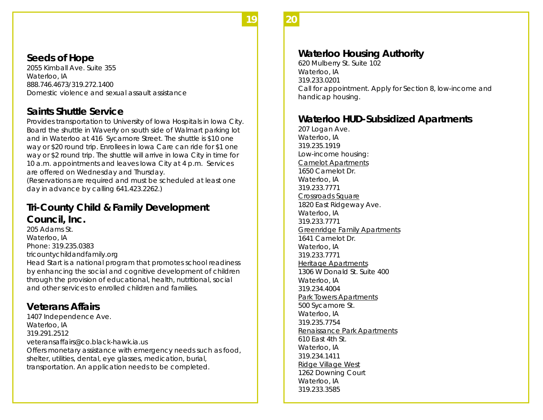#### **19 19**

### **Seeds of Hope**

2055 Kimball Ave. Suite 355 Waterloo, IA 888.746.4673/319.272.1400 Domestic violence and sexual assault assistance

#### **Saints Shuttle Service**

Provides transportation to University of Iowa Hospitals in Iowa City. Board the shuttle in Waverly on south side of Walmart parking lot and in Waterloo at 416 Sycamore Street. The shuttle is \$10 one way or \$20 round trip. Enrollees in Iowa Care can ride for \$1 one way or \$2 round trip. The shuttle will arrive in Iowa City in time for 10 a.m. appointments and leaves Iowa City at 4 p.m. Services are offered on Wednesday and Thursday.

(Reservations are required and must be scheduled at least one day in advance by calling 641.423.2262.)

### **Tri-County Child & Family Development Council, Inc.**

205 Adams St. Waterloo, IA Phone: 319.235.0383 tricountychildandfamily.org Head Start is a national program that promotes school readiness by enhancing the social and cognitive development of children through the provision of educational, health, nutritional, social and other services to enrolled children and families.

### **Veterans Affairs**

1407 Independence Ave. Waterloo, IA 319.291.2512 veteransaffairs@co.black-hawk.ia.us Offers monetary assistance with emergency needs such as food, shelter, utilities, dental, eye glasses, medication, burial, transportation. An application needs to be completed.

### **Waterloo Housing Authority**

620 Mulberry St. Suite 102 Waterloo, IA 319.233.0201 Call for appointment. Apply for Section 8, low-income and handicap housing.

**20 20** 

### **Waterloo HUD-Subsidized Apartments**

207 Logan Ave. Waterloo, IA 319.235.1919 Low-income housing: Camelot Apartments 1650 Camelot Dr. Waterloo, IA 319.233.7771 Crossroads Square 1820 East Ridgeway Ave. Waterloo, IA 319.233.7771 Greenridge Family Apartments 1641 Camelot Dr. Waterloo, IA 319.233.7771 Heritage Apartments 1306 W Donald St. Suite 400 Waterloo, IA 319.234.4004 Park Towers Apartments 500 Sycamore St. Waterloo, IA 319.235.7754 Renaissance Park Apartments 610 East 4th St. Waterloo, IA 319.234.1411 Ridge Village West 1262 Downing Court Waterloo, IA 319.233.3585